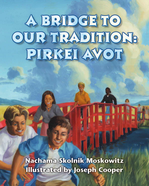## A BRIDGE TO OUR TRADITION: PIRKEI AVOT

Nachama Skolnik Moskowitz **Illustrated by Joseph Cooper**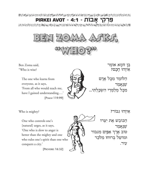





Ben Zoma said. "Who is wise?

> The one who learns from everyone, as it says, 'From all who would teach me, have I gained understanding....' [PSALM 119:99]



הַלּוֹמֵד מִכָּל אַדָם שַׁנֵאַמַר מִכַּל מִלַמְדִי הְשִׂכֵלְתִי...

Who is mighty?

One who controls one's [natural] urges, as it says, 'One who is slow to anger is better than the mighty and one who rules one's spirit than one who conquers a city.'

[PROVERBS 16:32]

אַיזַהוּ גִבּוֹר?

בֵן זוֹמַא אוֹמֵר

איזהו חכם?

הכובש את יצרו שנאמר טוֹב אֶרֶךְ אַפֵּיִם מִגִּבּוֹר וּמוֹשֵׁל בִרוּחוֹ מִלֹּבֵד עיר.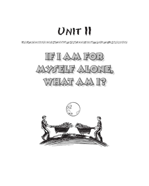## UNIT II

 $D_1$  , and  $D_2$  , and  $D_3$  , and  $D_4$  , and  $D_5$  , and  $D_6$  , and  $D_7$ 



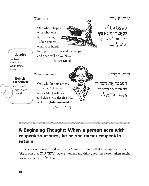

 $\frac{1}{2}$  . The contract of  $\frac{1}{2}$  ,  $\frac{1}{2}$  ,  $\frac{1}{2}$  ,  $\frac{1}{2}$  ,  $\frac{1}{2}$  ,  $\frac{1}{2}$  ,  $\frac{1}{2}$  ,  $\frac{1}{2}$  ,  $\frac{1}{2}$  ,  $\frac{1}{2}$  ,  $\frac{1}{2}$  ,  $\frac{1}{2}$  ,  $\frac{1}{2}$  ,  $\frac{1}{2}$  ,  $\frac{1}{2}$  ,  $\frac{1}{2}$  ,

## A Beginning Thought: When a person acts with respect to others, he or she earns respect in return.

In the last lesson, you considered Rabbi Shimon's opinion that it is important to earn "the crown of a  $\ddot{U}$ ." Take a moment and think about the reason others might crown you with a שם שוב

scorn.